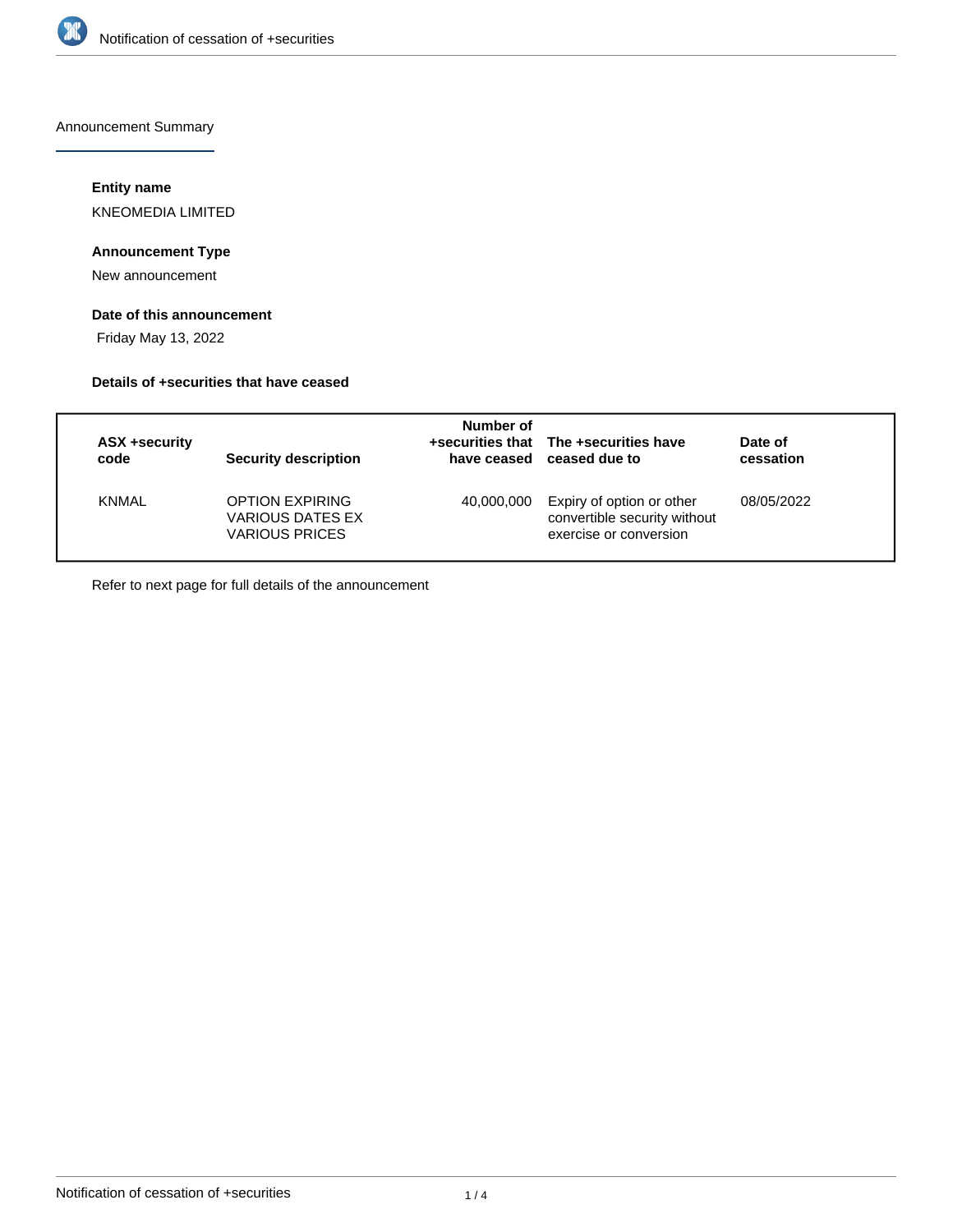

Announcement Summary

### **Entity name**

KNEOMEDIA LIMITED

## **Announcement Type**

New announcement

# **Date of this announcement**

Friday May 13, 2022

### **Details of +securities that have ceased**

| ASX +security<br>code | Security description                                         | Number of<br>have ceased | +securities that The +securities have<br>ceased due to                              | Date of<br>cessation |
|-----------------------|--------------------------------------------------------------|--------------------------|-------------------------------------------------------------------------------------|----------------------|
| <b>KNMAL</b>          | <b>OPTION EXPIRING</b><br>VARIOUS DATES EX<br>VARIOUS PRICES | 40.000.000               | Expiry of option or other<br>convertible security without<br>exercise or conversion | 08/05/2022           |

Refer to next page for full details of the announcement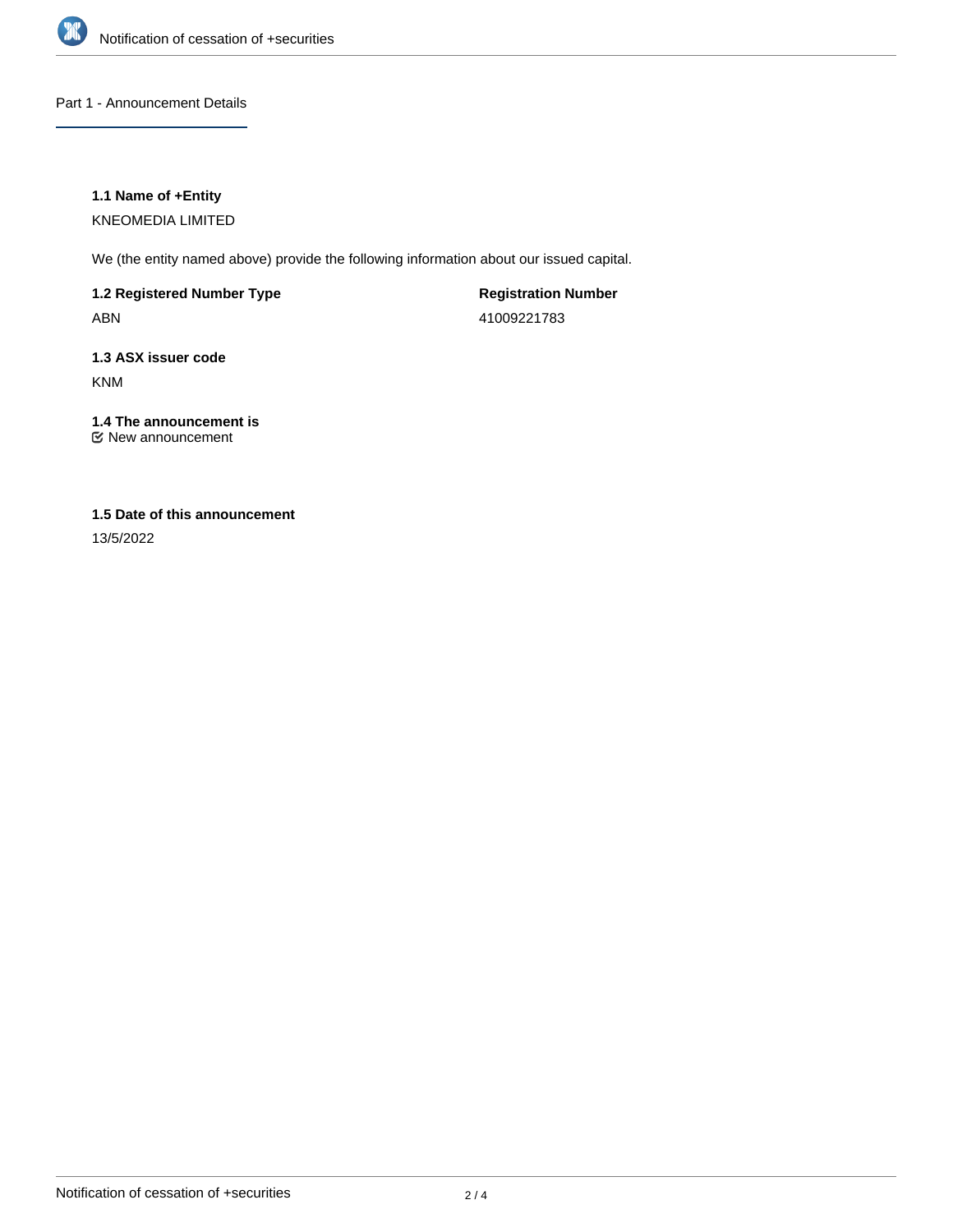

Part 1 - Announcement Details

### **1.1 Name of +Entity**

KNEOMEDIA LIMITED

We (the entity named above) provide the following information about our issued capital.

**1.2 Registered Number Type** ABN

**Registration Number** 41009221783

**1.3 ASX issuer code** KNM

#### **1.4 The announcement is** New announcement

**1.5 Date of this announcement**

13/5/2022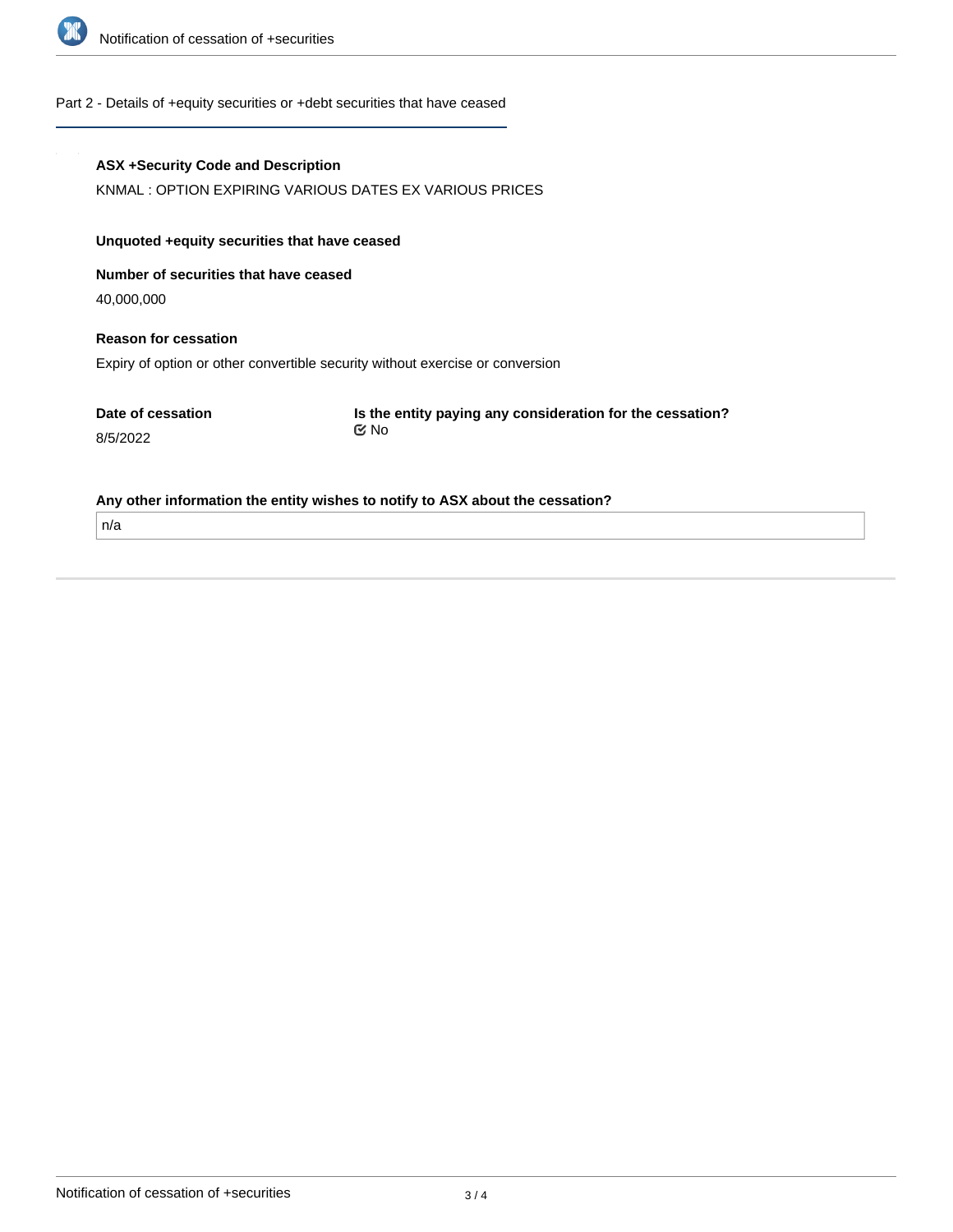

#### Part 2 - Details of +equity securities or +debt securities that have ceased

#### **ASX +Security Code and Description**

KNMAL : OPTION EXPIRING VARIOUS DATES EX VARIOUS PRICES

## **Unquoted +equity securities that have ceased**

**Number of securities that have ceased**

40,000,000

## **Reason for cessation**

Expiry of option or other convertible security without exercise or conversion

| Date of cessation |  |
|-------------------|--|
| 8/5/2022          |  |

**Is the entity paying any consideration for the cessation?** No

#### **Any other information the entity wishes to notify to ASX about the cessation?**

n/a